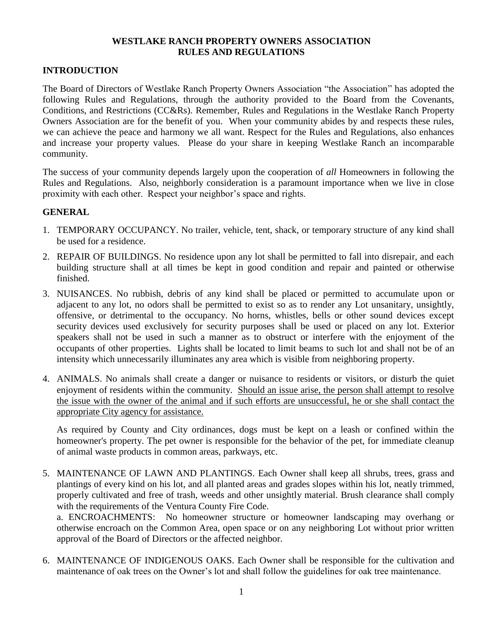## **WESTLAKE RANCH PROPERTY OWNERS ASSOCIATION RULES AND REGULATIONS**

## **INTRODUCTION**

The Board of Directors of Westlake Ranch Property Owners Association "the Association" has adopted the following Rules and Regulations, through the authority provided to the Board from the Covenants, Conditions, and Restrictions (CC&Rs). Remember, Rules and Regulations in the Westlake Ranch Property Owners Association are for the benefit of you. When your community abides by and respects these rules, we can achieve the peace and harmony we all want. Respect for the Rules and Regulations, also enhances and increase your property values. Please do your share in keeping Westlake Ranch an incomparable community.

The success of your community depends largely upon the cooperation of *all* Homeowners in following the Rules and Regulations. Also, neighborly consideration is a paramount importance when we live in close proximity with each other. Respect your neighbor's space and rights.

## **GENERAL**

- 1. TEMPORARY OCCUPANCY. No trailer, vehicle, tent, shack, or temporary structure of any kind shall be used for a residence.
- 2. REPAIR OF BUILDINGS. No residence upon any lot shall be permitted to fall into disrepair, and each building structure shall at all times be kept in good condition and repair and painted or otherwise finished.
- 3. NUISANCES. No rubbish, debris of any kind shall be placed or permitted to accumulate upon or adjacent to any lot, no odors shall be permitted to exist so as to render any Lot unsanitary, unsightly, offensive, or detrimental to the occupancy. No horns, whistles, bells or other sound devices except security devices used exclusively for security purposes shall be used or placed on any lot. Exterior speakers shall not be used in such a manner as to obstruct or interfere with the enjoyment of the occupants of other properties. Lights shall be located to limit beams to such lot and shall not be of an intensity which unnecessarily illuminates any area which is visible from neighboring property.
- 4. ANIMALS. No animals shall create a danger or nuisance to residents or visitors, or disturb the quiet enjoyment of residents within the community. Should an issue arise, the person shall attempt to resolve the issue with the owner of the animal and if such efforts are unsuccessful, he or she shall contact the appropriate City agency for assistance.

As required by County and City ordinances, dogs must be kept on a leash or confined within the homeowner's property. The pet owner is responsible for the behavior of the pet, for immediate cleanup of animal waste products in common areas, parkways, etc.

5. MAINTENANCE OF LAWN AND PLANTINGS. Each Owner shall keep all shrubs, trees, grass and plantings of every kind on his lot, and all planted areas and grades slopes within his lot, neatly trimmed, properly cultivated and free of trash, weeds and other unsightly material. Brush clearance shall comply with the requirements of the Ventura County Fire Code.

a. ENCROACHMENTS: No homeowner structure or homeowner landscaping may overhang or otherwise encroach on the Common Area, open space or on any neighboring Lot without prior written approval of the Board of Directors or the affected neighbor.

6. MAINTENANCE OF INDIGENOUS OAKS. Each Owner shall be responsible for the cultivation and maintenance of oak trees on the Owner's lot and shall follow the guidelines for oak tree maintenance.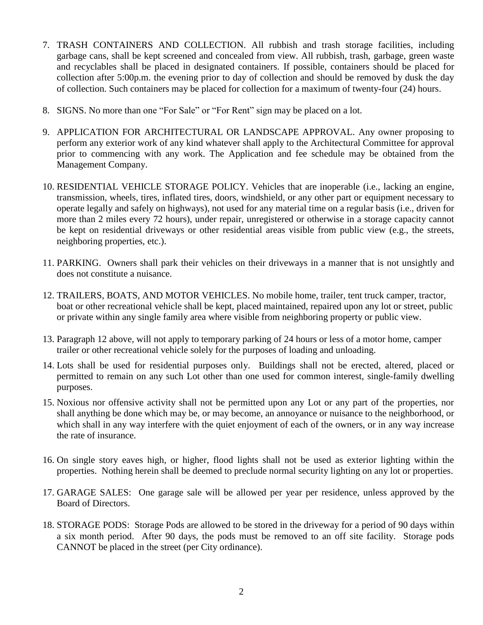- 7. TRASH CONTAINERS AND COLLECTION. All rubbish and trash storage facilities, including garbage cans, shall be kept screened and concealed from view. All rubbish, trash, garbage, green waste and recyclables shall be placed in designated containers. If possible, containers should be placed for collection after 5:00p.m. the evening prior to day of collection and should be removed by dusk the day of collection. Such containers may be placed for collection for a maximum of twenty-four (24) hours.
- 8. SIGNS. No more than one "For Sale" or "For Rent" sign may be placed on a lot.
- 9. APPLICATION FOR ARCHITECTURAL OR LANDSCAPE APPROVAL. Any owner proposing to perform any exterior work of any kind whatever shall apply to the Architectural Committee for approval prior to commencing with any work. The Application and fee schedule may be obtained from the Management Company.
- 10. RESIDENTIAL VEHICLE STORAGE POLICY. Vehicles that are inoperable (i.e., lacking an engine, transmission, wheels, tires, inflated tires, doors, windshield, or any other part or equipment necessary to operate legally and safely on highways), not used for any material time on a regular basis (i.e., driven for more than 2 miles every 72 hours), under repair, unregistered or otherwise in a storage capacity cannot be kept on residential driveways or other residential areas visible from public view (e.g., the streets, neighboring properties, etc.).
- 11. PARKING. Owners shall park their vehicles on their driveways in a manner that is not unsightly and does not constitute a nuisance.
- 12. TRAILERS, BOATS, AND MOTOR VEHICLES. No mobile home, trailer, tent truck camper, tractor, boat or other recreational vehicle shall be kept, placed maintained, repaired upon any lot or street, public or private within any single family area where visible from neighboring property or public view.
- 13. Paragraph 12 above, will not apply to temporary parking of 24 hours or less of a motor home, camper trailer or other recreational vehicle solely for the purposes of loading and unloading.
- 14. Lots shall be used for residential purposes only. Buildings shall not be erected, altered, placed or permitted to remain on any such Lot other than one used for common interest, single-family dwelling purposes.
- 15. Noxious nor offensive activity shall not be permitted upon any Lot or any part of the properties, nor shall anything be done which may be, or may become, an annoyance or nuisance to the neighborhood, or which shall in any way interfere with the quiet enjoyment of each of the owners, or in any way increase the rate of insurance.
- 16. On single story eaves high, or higher, flood lights shall not be used as exterior lighting within the properties. Nothing herein shall be deemed to preclude normal security lighting on any lot or properties.
- 17. GARAGE SALES: One garage sale will be allowed per year per residence, unless approved by the Board of Directors.
- 18. STORAGE PODS: Storage Pods are allowed to be stored in the driveway for a period of 90 days within a six month period. After 90 days, the pods must be removed to an off site facility. Storage pods CANNOT be placed in the street (per City ordinance).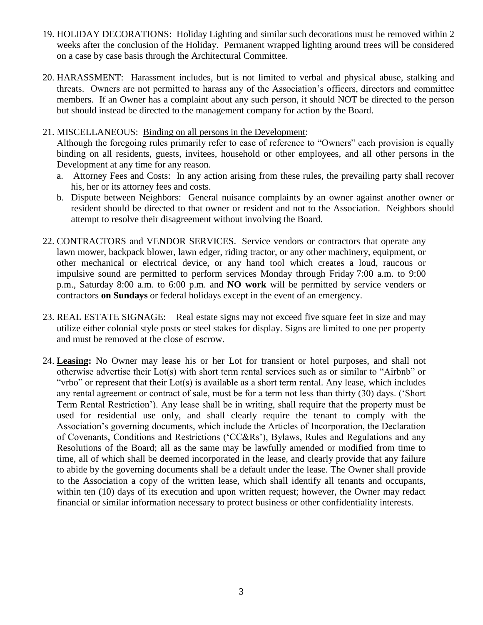- 19. HOLIDAY DECORATIONS: Holiday Lighting and similar such decorations must be removed within 2 weeks after the conclusion of the Holiday. Permanent wrapped lighting around trees will be considered on a case by case basis through the Architectural Committee.
- 20. HARASSMENT: Harassment includes, but is not limited to verbal and physical abuse, stalking and threats. Owners are not permitted to harass any of the Association's officers, directors and committee members. If an Owner has a complaint about any such person, it should NOT be directed to the person but should instead be directed to the management company for action by the Board.
- 21. MISCELLANEOUS: Binding on all persons in the Development:

Although the foregoing rules primarily refer to ease of reference to "Owners" each provision is equally binding on all residents, guests, invitees, household or other employees, and all other persons in the Development at any time for any reason.

- a. Attorney Fees and Costs: In any action arising from these rules, the prevailing party shall recover his, her or its attorney fees and costs.
- b. Dispute between Neighbors: General nuisance complaints by an owner against another owner or resident should be directed to that owner or resident and not to the Association. Neighbors should attempt to resolve their disagreement without involving the Board.
- 22. CONTRACTORS and VENDOR SERVICES. Service vendors or contractors that operate any lawn mower, backpack blower, lawn edger, riding tractor, or any other machinery, equipment, or other mechanical or electrical device, or any hand tool which creates a loud, raucous or impulsive sound are permitted to perform services Monday through Friday 7:00 a.m. to 9:00 p.m., Saturday 8:00 a.m. to 6:00 p.m. and **NO work** will be permitted by service venders or contractors **on Sundays** or federal holidays except in the event of an emergency.
- 23. REAL ESTATE SIGNAGE: Real estate signs may not exceed five square feet in size and may utilize either colonial style posts or steel stakes for display. Signs are limited to one per property and must be removed at the close of escrow.
- 24. **Leasing:** No Owner may lease his or her Lot for transient or hotel purposes, and shall not otherwise advertise their Lot(s) with short term rental services such as or similar to "Airbnb" or "vrbo" or represent that their Lot(s) is available as a short term rental. Any lease, which includes any rental agreement or contract of sale, must be for a term not less than thirty (30) days. ('Short Term Rental Restriction'). Any lease shall be in writing, shall require that the property must be used for residential use only, and shall clearly require the tenant to comply with the Association's governing documents, which include the Articles of Incorporation, the Declaration of Covenants, Conditions and Restrictions ('CC&Rs'), Bylaws, Rules and Regulations and any Resolutions of the Board; all as the same may be lawfully amended or modified from time to time, all of which shall be deemed incorporated in the lease, and clearly provide that any failure to abide by the governing documents shall be a default under the lease. The Owner shall provide to the Association a copy of the written lease, which shall identify all tenants and occupants, within ten (10) days of its execution and upon written request; however, the Owner may redact financial or similar information necessary to protect business or other confidentiality interests.